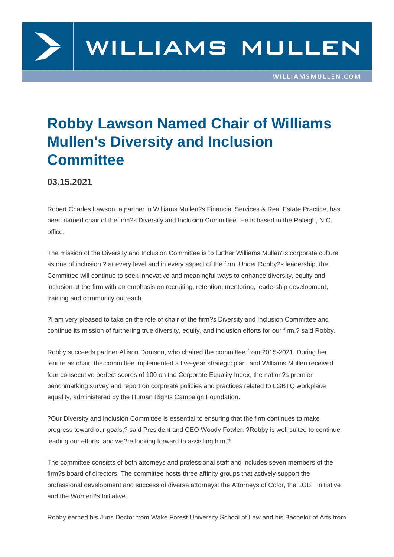

## **Robby Lawson Named Chair of Williams Mullen's Diversity and Inclusion Committee**

**03.15.2021**

Robert Charles Lawson, a partner in Williams Mullen?s Financial Services & Real Estate Practice, has been named chair of the firm?s Diversity and Inclusion Committee. He is based in the Raleigh, N.C. office.

The mission of the Diversity and Inclusion Committee is to further Williams Mullen?s corporate culture as one of inclusion ? at every level and in every aspect of the firm. Under Robby?s leadership, the Committee will continue to seek innovative and meaningful ways to enhance diversity, equity and inclusion at the firm with an emphasis on recruiting, retention, mentoring, leadership development, training and community outreach.

?I am very pleased to take on the role of chair of the firm?s Diversity and Inclusion Committee and continue its mission of furthering true diversity, equity, and inclusion efforts for our firm,? said Robby.

Robby succeeds partner Allison Domson, who chaired the committee from 2015-2021. During her tenure as chair, the committee implemented a five-year strategic plan, and Williams Mullen received four consecutive perfect scores of 100 on the Corporate Equality Index, the nation?s premier benchmarking survey and report on corporate policies and practices related to LGBTQ workplace equality, administered by the Human Rights Campaign Foundation.

?Our Diversity and Inclusion Committee is essential to ensuring that the firm continues to make progress toward our goals,? said President and CEO Woody Fowler. ?Robby is well suited to continue leading our efforts, and we?re looking forward to assisting him.?

The committee consists of both attorneys and professional staff and includes seven members of the firm?s board of directors. The committee hosts three affinity groups that actively support the professional development and success of diverse attorneys: the Attorneys of Color, the LGBT Initiative and the Women?s Initiative.

Robby earned his Juris Doctor from Wake Forest University School of Law and his Bachelor of Arts from